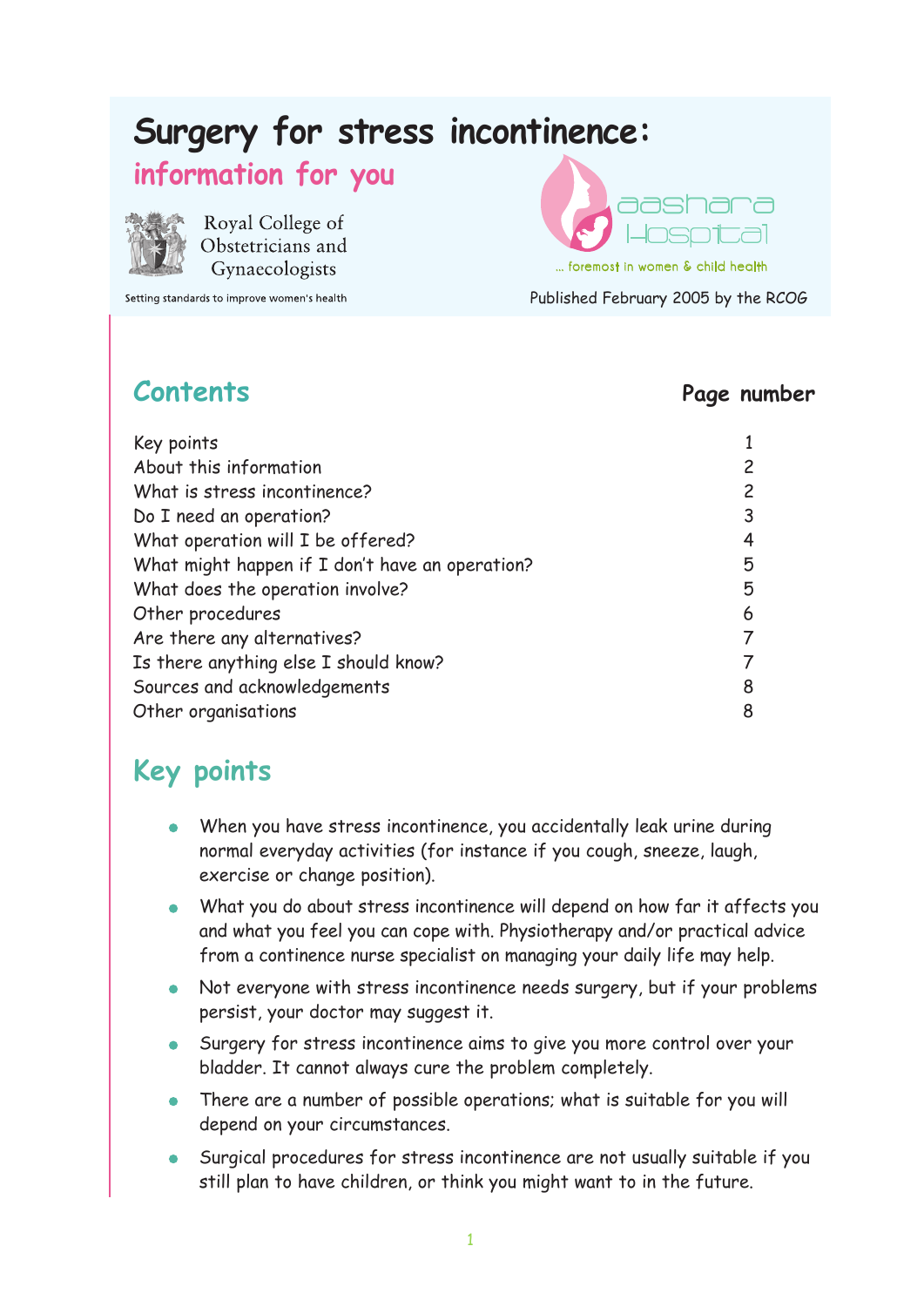# **Surgery for stress incontinence:**

#### **information for you**



Royal College of Obstetricians and Gynaecologists

Setting standards to improve women's health

**aashara** 

Published February 2005 by the RCOG ... foremost in women & child health

#### **Contents Page number**

| Key points                                      |   |
|-------------------------------------------------|---|
| About this information                          |   |
| What is stress incontinence?                    |   |
| Do I need an operation?                         | 3 |
| What operation will I be offered?               | 4 |
| What might happen if I don't have an operation? | 5 |
| What does the operation involve?                | 5 |
| Other procedures                                | 6 |
| Are there any alternatives?                     |   |
| Is there anything else I should know?           |   |
| Sources and acknowledgements                    | 8 |
| Other organisations                             | 8 |

## **Key points**

- When you have stress incontinence, you accidentally leak urine during normal everyday activities (for instance if you cough, sneeze, laugh, exercise or change position).
- What you do about stress incontinence will depend on how far it affects you and what you feel you can cope with. Physiotherapy and/or practical advice from a continence nurse specialist on managing your daily life may help.
- Not everyone with stress incontinence needs surgery, but if your problems persist, your doctor may suggest it.
- Surgery for stress incontinence aims to give you more control over your bladder. It cannot always cure the problem completely.
- There are a number of possible operations; what is suitable for you will depend on your circumstances.
- Surgical procedures for stress incontinence are not usually suitable if you still plan to have children, or think you might want to in the future.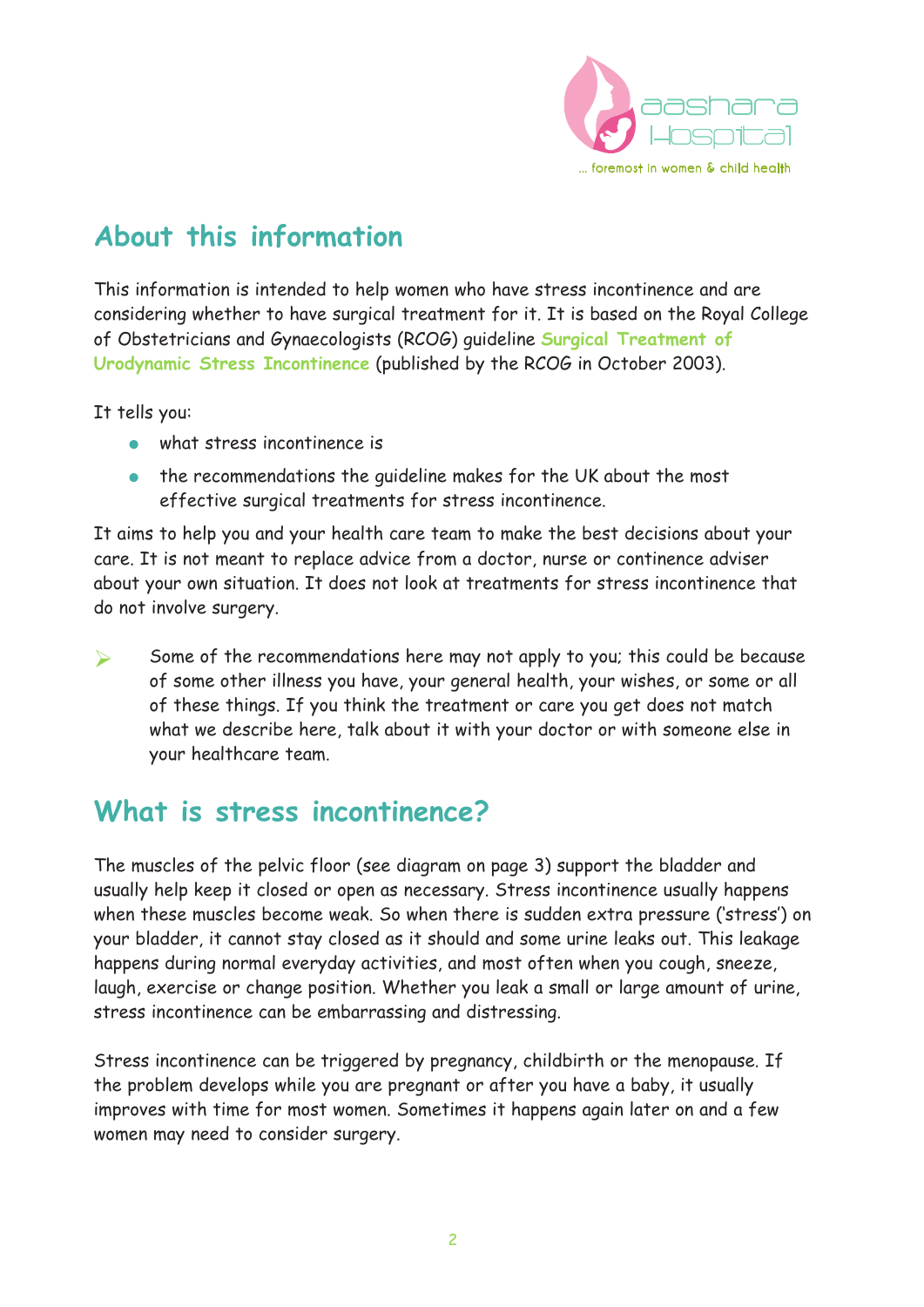

# **About this information**

This information is intended to help women who have stress incontinence and are considering whether to have surgical treatment for it. It is based on the Royal College of Obstetricians and Gynaecologists (RCOG) guideline **Surgical Treatment of Urodynamic Stress Incontinence** (published by the RCOG in October 2003).

It tells you:

- what stress incontinence is
- the recommendations the guideline makes for the UK about the most effective surgical treatments for stress incontinence.

It aims to help you and your health care team to make the best decisions about your care. It is not meant to replace advice from a doctor, nurse or continence adviser about your own situation. It does not look at treatments for stress incontinence that do not involve surgery.

 $\triangleright$  Some of the recommendations here may not apply to you; this could be because of some other illness you have, your general health, your wishes, or some or all of these things. If you think the treatment or care you get does not match what we describe here, talk about it with your doctor or with someone else in your healthcare team.

## **What is stress incontinence?**

The muscles of the pelvic floor (see diagram on page 3) support the bladder and usually help keep it closed or open as necessary. Stress incontinence usually happens when these muscles become weak. So when there is sudden extra pressure ('stress') on your bladder, it cannot stay closed as it should and some urine leaks out. This leakage happens during normal everyday activities, and most often when you cough, sneeze, laugh, exercise or change position. Whether you leak a small or large amount of urine, stress incontinence can be embarrassing and distressing.

Stress incontinence can be triggered by pregnancy, childbirth or the menopause. If the problem develops while you are pregnant or after you have a baby, it usually improves with time for most women. Sometimes it happens again later on and a few women may need to consider surgery.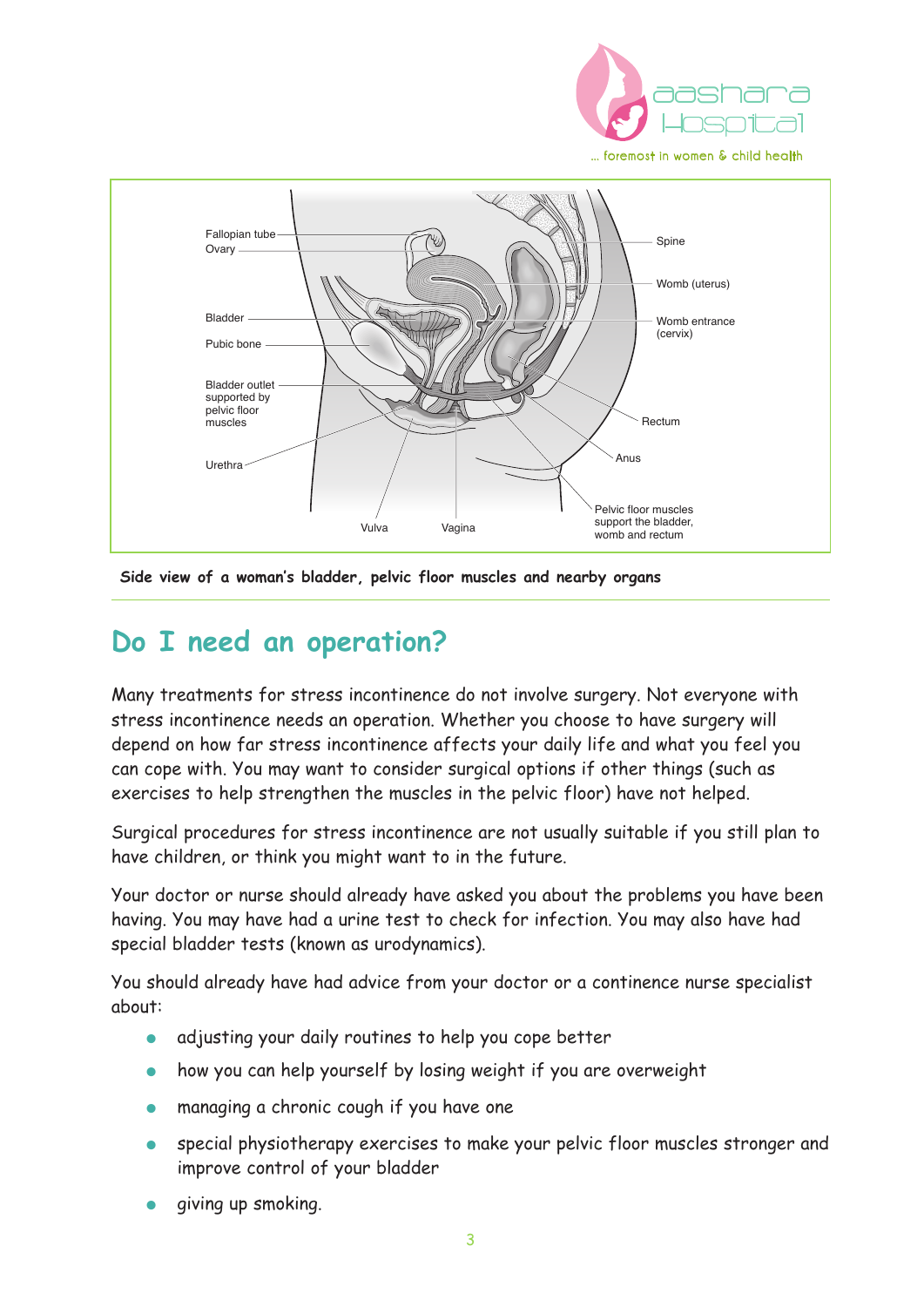



#### **Side view of a woman's bladder, pelvic floor muscles and nearby organs**

#### **Do I need an operation?**

Many treatments for stress incontinence do not involve surgery. Not everyone with stress incontinence needs an operation. Whether you choose to have surgery will depend on how far stress incontinence affects your daily life and what you feel you can cope with. You may want to consider surgical options if other things (such as exercises to help strengthen the muscles in the pelvic floor) have not helped.

Surgical procedures for stress incontinence are not usually suitable if you still plan to have children, or think you might want to in the future.

Your doctor or nurse should already have asked you about the problems you have been having. You may have had a urine test to check for infection. You may also have had special bladder tests (known as urodynamics).

You should already have had advice from your doctor or a continence nurse specialist about:

- adjusting your daily routines to help you cope better
- how you can help yourself by losing weight if you are overweight
- managing a chronic cough if you have one
- special physiotherapy exercises to make your pelvic floor muscles stronger and improve control of your bladder
- giving up smoking.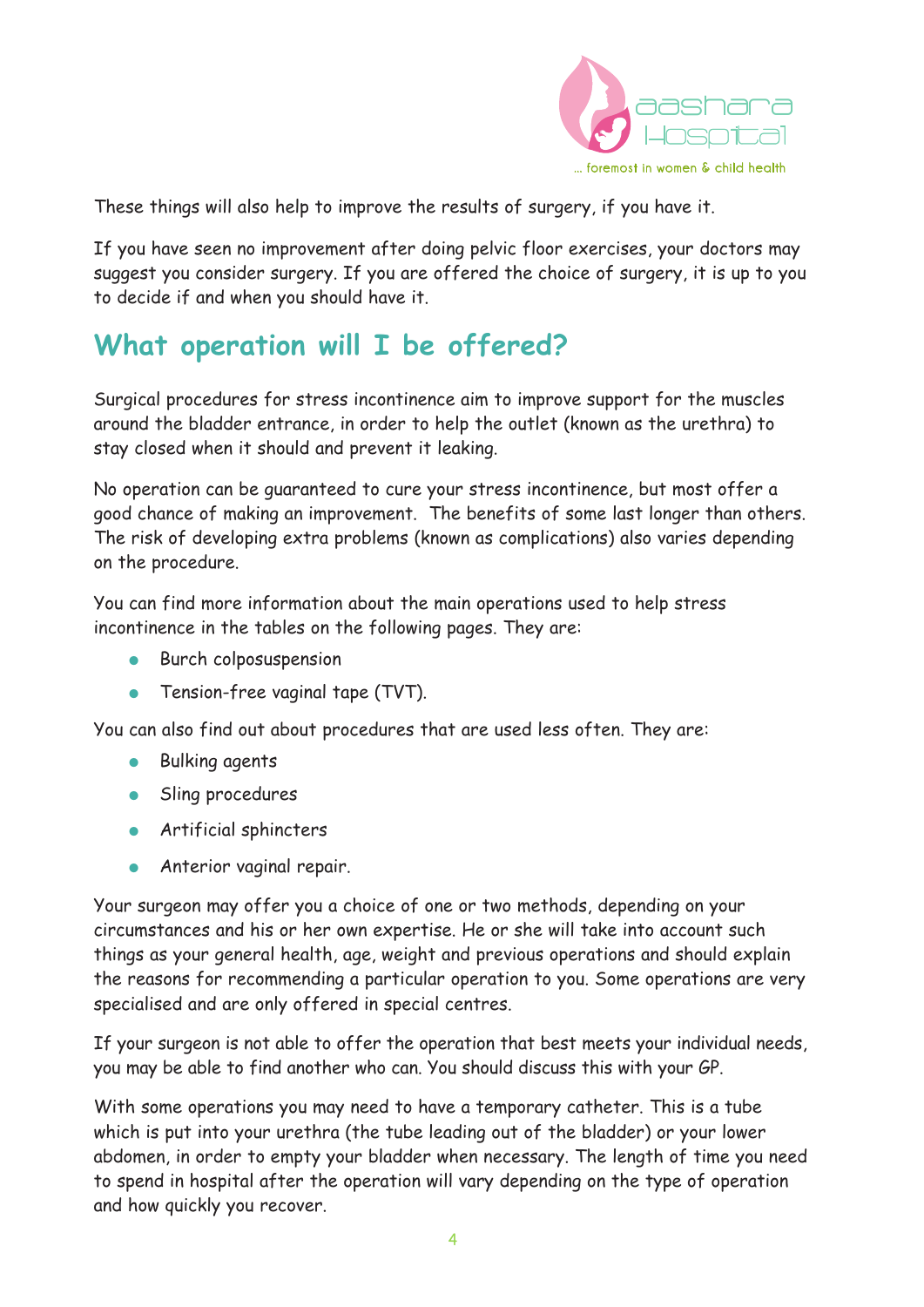

These things will also help to improve the results of surgery, if you have it.

If you have seen no improvement after doing pelvic floor exercises, your doctors may suggest you consider surgery. If you are offered the choice of surgery, it is up to you to decide if and when you should have it.

## **What operation will I be offered?**

Surgical procedures for stress incontinence aim to improve support for the muscles around the bladder entrance, in order to help the outlet (known as the urethra) to stay closed when it should and prevent it leaking.

No operation can be guaranteed to cure your stress incontinence, but most offer a good chance of making an improvement. The benefits of some last longer than others. The risk of developing extra problems (known as complications) also varies depending on the procedure.

You can find more information about the main operations used to help stress incontinence in the tables on the following pages. They are:

- **•** Burch colposuspension
- **•** Tension-free vaginal tape (TVT).

You can also find out about procedures that are used less often. They are:

- **Bulking agents**
- Sling procedures
- Artificial sphincters
- **•** Anterior vaginal repair.

Your surgeon may offer you a choice of one or two methods, depending on your circumstances and his or her own expertise. He or she will take into account such things as your general health, age, weight and previous operations and should explain the reasons for recommending a particular operation to you. Some operations are very specialised and are only offered in special centres.

If your surgeon is not able to offer the operation that best meets your individual needs, you may be able to find another who can. You should discuss this with your GP.

With some operations you may need to have a temporary catheter. This is a tube which is put into your urethra (the tube leading out of the bladder) or your lower abdomen, in order to empty your bladder when necessary. The length of time you need to spend in hospital after the operation will vary depending on the type of operation and how quickly you recover.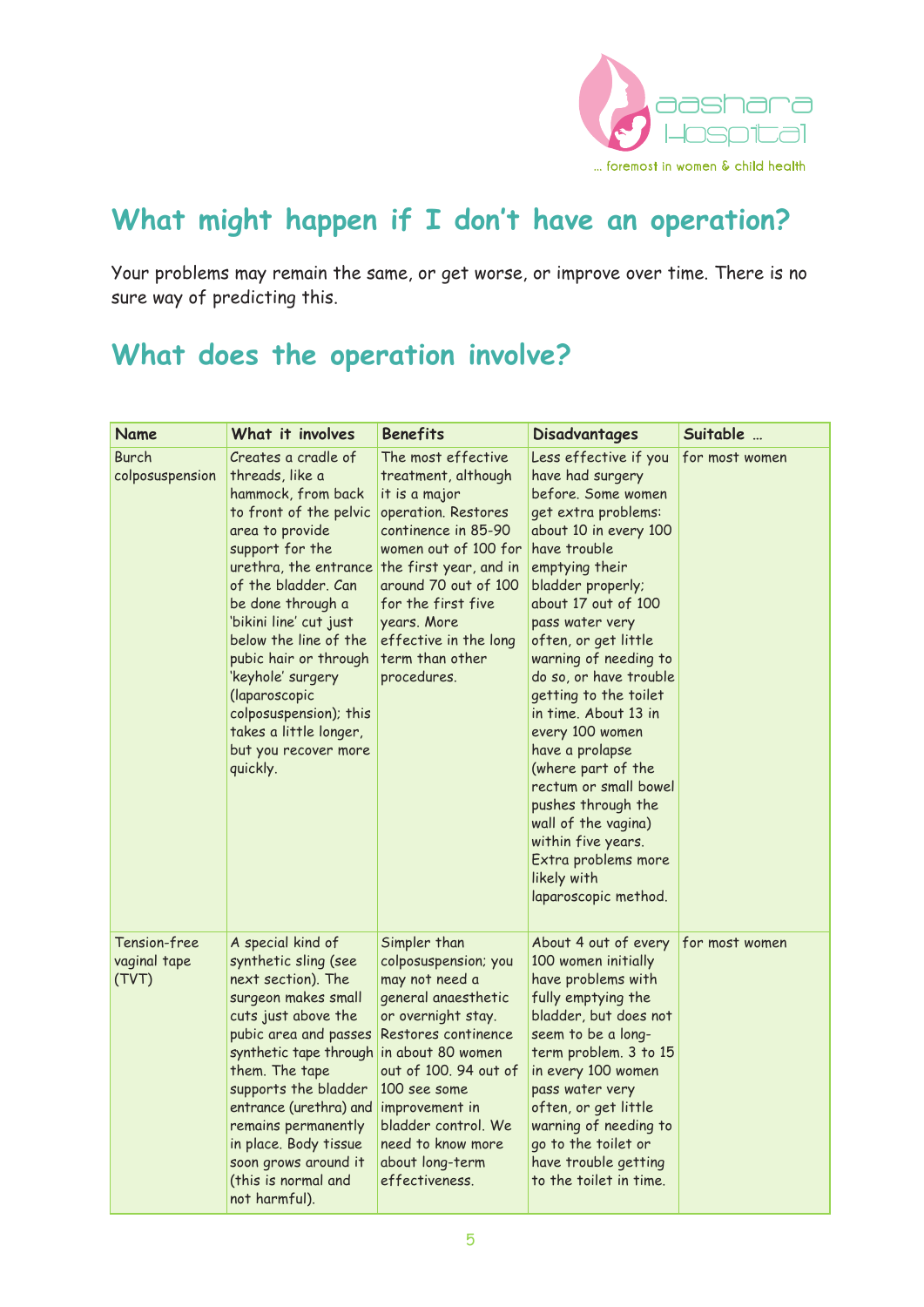

# **What might happen if I don't have an operation?**

Your problems may remain the same, or get worse, or improve over time. There is no sure way of predicting this.

## **What does the operation involve?**

| Name                                  | What it involves                                                                                                                                                                                                                                                                                                                                                                                            | <b>Benefits</b>                                                                                                                                                                                                                                                                    | <b>Disadvantages</b>                                                                                                                                                                                                                                                                                                                                                                                                                                                                                                                                               | Suitable       |
|---------------------------------------|-------------------------------------------------------------------------------------------------------------------------------------------------------------------------------------------------------------------------------------------------------------------------------------------------------------------------------------------------------------------------------------------------------------|------------------------------------------------------------------------------------------------------------------------------------------------------------------------------------------------------------------------------------------------------------------------------------|--------------------------------------------------------------------------------------------------------------------------------------------------------------------------------------------------------------------------------------------------------------------------------------------------------------------------------------------------------------------------------------------------------------------------------------------------------------------------------------------------------------------------------------------------------------------|----------------|
| Burch<br>colposuspension              | Creates a cradle of<br>threads, like a<br>hammock, from back<br>to front of the pelvic<br>area to provide<br>support for the<br>urethra, the entrance<br>of the bladder. Can<br>be done through a<br>'bikini line' cut just<br>below the line of the<br>pubic hair or through<br>'keyhole' surgery<br>(laparoscopic<br>colposuspension); this<br>takes a little longer,<br>but you recover more<br>quickly. | The most effective<br>treatment, although<br>it is a major<br>operation. Restores<br>continence in 85-90<br>women out of 100 for<br>the first year, and in<br>around 70 out of 100<br>for the first five<br>years. More<br>effective in the long<br>term than other<br>procedures. | Less effective if you<br>have had surgery<br>before. Some women<br>get extra problems:<br>about 10 in every 100<br>have trouble<br>emptying their<br>bladder properly;<br>about 17 out of 100<br>pass water very<br>often, or get little<br>warning of needing to<br>do so, or have trouble<br>getting to the toilet<br>in time. About 13 in<br>every 100 women<br>have a prolapse<br>(where part of the<br>rectum or small bowel<br>pushes through the<br>wall of the vagina)<br>within five years.<br>Extra problems more<br>likely with<br>laparoscopic method. | for most women |
| Tension-free<br>vaginal tape<br>(TVT) | A special kind of<br>synthetic sling (see<br>next section). The<br>surgeon makes small<br>cuts just above the<br>pubic area and passes<br>synthetic tape through in about 80 women<br>them. The tape<br>supports the bladder<br>entrance (urethra) and<br>remains permanently<br>in place. Body tissue<br>soon grows around it<br>(this is normal and<br>not harmful).                                      | Simpler than<br>colposuspension; you<br>may not need a<br>general anaesthetic<br>or overnight stay.<br>Restores continence<br>out of 100. 94 out of<br>100 see some<br>improvement in<br>bladder control. We<br>need to know more<br>about long-term<br>effectiveness.             | About 4 out of every<br>100 women initially<br>have problems with<br>fully emptying the<br>bladder, but does not<br>seem to be a long-<br>term problem. 3 to 15<br>in every 100 women<br>pass water very<br>often, or get little<br>warning of needing to<br>go to the toilet or<br>have trouble getting<br>to the toilet in time.                                                                                                                                                                                                                                 | for most women |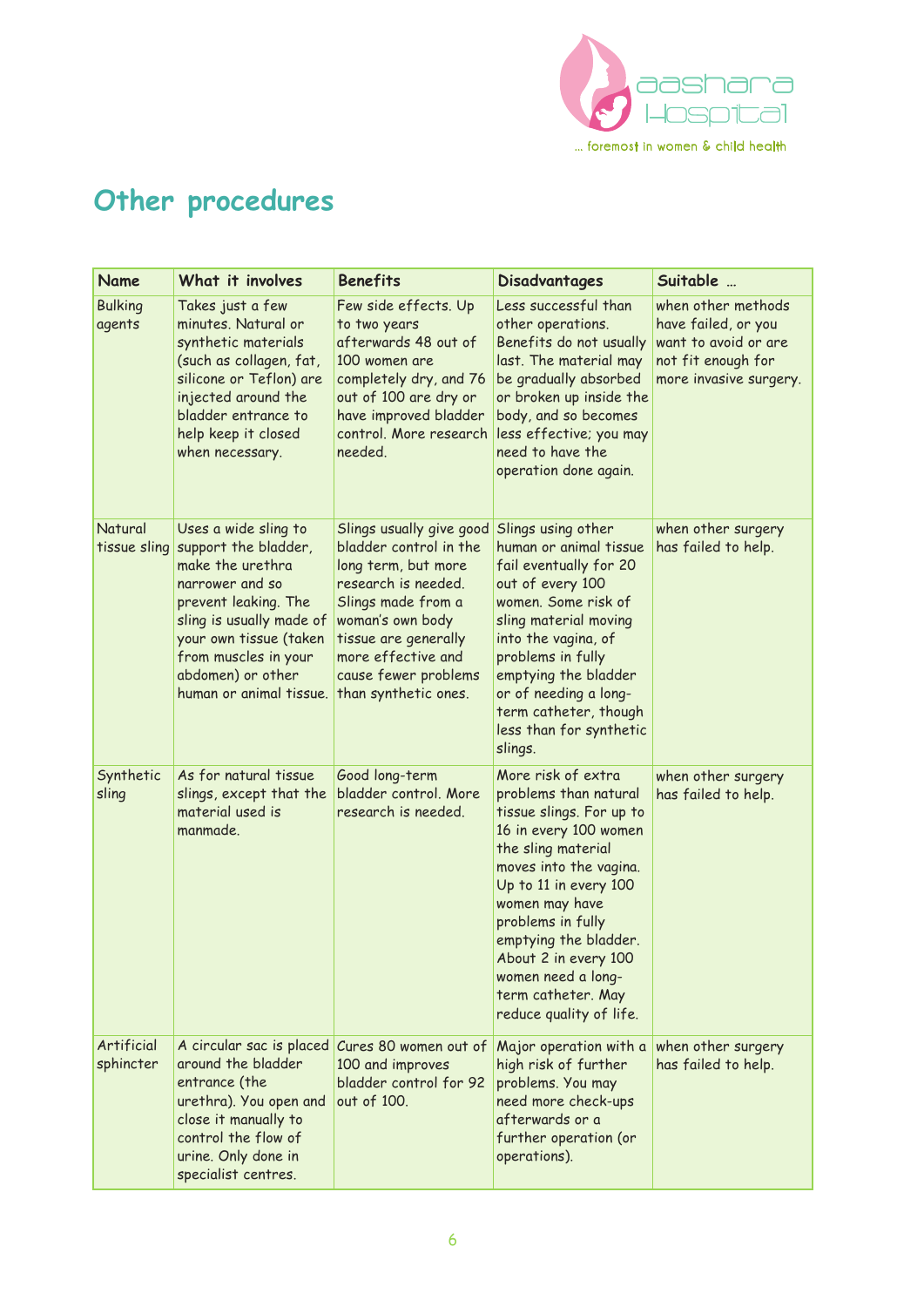

# **Other procedures**

| Name                     | What it involves                                                                                                                                                                                                                          | <b>Benefits</b>                                                                                                                                                                                                                          | <b>Disadvantages</b>                                                                                                                                                                                                                                                                                                                     | Suitable                                                                                                          |
|--------------------------|-------------------------------------------------------------------------------------------------------------------------------------------------------------------------------------------------------------------------------------------|------------------------------------------------------------------------------------------------------------------------------------------------------------------------------------------------------------------------------------------|------------------------------------------------------------------------------------------------------------------------------------------------------------------------------------------------------------------------------------------------------------------------------------------------------------------------------------------|-------------------------------------------------------------------------------------------------------------------|
| <b>Bulking</b><br>agents | Takes just a few<br>minutes. Natural or<br>synthetic materials<br>(such as collagen, fat,<br>silicone or Teflon) are<br>injected around the<br>bladder entrance to<br>help keep it closed<br>when necessary.                              | Few side effects. Up<br>to two years<br>afterwards 48 out of<br>100 women are<br>completely dry, and 76<br>out of 100 are dry or<br>have improved bladder<br>control. More research<br>needed.                                           | Less successful than<br>other operations.<br>Benefits do not usually<br>last. The material may<br>be gradually absorbed<br>or broken up inside the<br>body, and so becomes<br>less effective; you may<br>need to have the<br>operation done again.                                                                                       | when other methods<br>have failed, or you<br>want to avoid or are<br>not fit enough for<br>more invasive surgery. |
| Natural<br>tissue sling  | Uses a wide sling to<br>support the bladder,<br>make the urethra<br>narrower and so<br>prevent leaking. The<br>sling is usually made of<br>your own tissue (taken<br>from muscles in your<br>abdomen) or other<br>human or animal tissue. | Slings usually give good<br>bladder control in the<br>long term, but more<br>research is needed.<br>Slings made from a<br>woman's own body<br>tissue are generally<br>more effective and<br>cause fewer problems<br>than synthetic ones. | Slings using other<br>human or animal tissue<br>fail eventually for 20<br>out of every 100<br>women. Some risk of<br>sling material moving<br>into the vagina, of<br>problems in fully<br>emptying the bladder<br>or of needing a long-<br>term catheter, though<br>less than for synthetic<br>slings.                                   | when other surgery<br>has failed to help.                                                                         |
| Synthetic<br>sling       | As for natural tissue<br>slings, except that the<br>material used is<br>manmade.                                                                                                                                                          | Good long-term<br>bladder control. More<br>research is needed.                                                                                                                                                                           | More risk of extra<br>problems than natural<br>tissue slings. For up to<br>16 in every 100 women<br>the sling material<br>moves into the vagina.<br>Up to 11 in every 100<br>women may have<br>problems in fully<br>emptying the bladder.<br>About 2 in every 100<br>women need a long-<br>term catheter. May<br>reduce quality of life. | when other surgery<br>has failed to help.                                                                         |
| Artificial<br>sphincter  | A circular sac is placed<br>around the bladder<br>entrance (the<br>urethra). You open and<br>close it manually to<br>control the flow of<br>urine. Only done in<br>specialist centres.                                                    | Cures 80 women out of<br>100 and improves<br>bladder control for 92<br>out of 100.                                                                                                                                                       | Major operation with a<br>high risk of further<br>problems. You may<br>need more check-ups<br>afterwards or a<br>further operation (or<br>operations).                                                                                                                                                                                   | when other surgery<br>has failed to help.                                                                         |